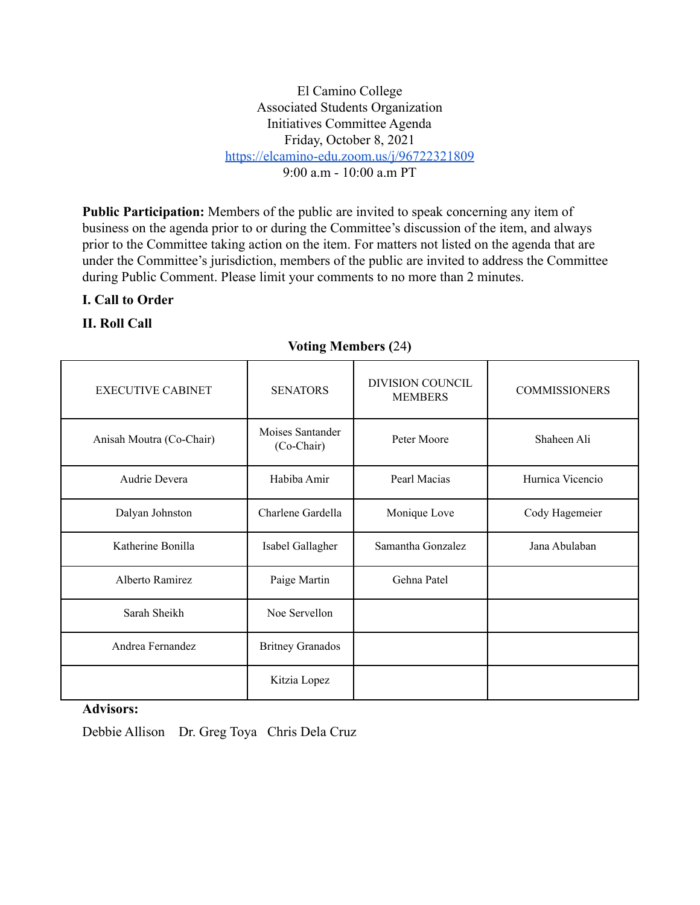El Camino College Associated Students Organization Initiatives Committee Agenda Friday, October 8, 2021 <https://elcamino-edu.zoom.us/j/96722321809>  $9.00 a m - 10.00 a m PT$ 

**Public Participation:** Members of the public are invited to speak concerning any item of business on the agenda prior to or during the Committee's discussion of the item, and always prior to the Committee taking action on the item. For matters not listed on the agenda that are under the Committee's jurisdiction, members of the public are invited to address the Committee during Public Comment. Please limit your comments to no more than 2 minutes.

#### **I. Call to Order**

## **II. Roll Call**

#### **Voting Members (**24**)**

| <b>EXECUTIVE CABINET</b> | <b>SENATORS</b>                | DIVISION COUNCIL  | <b>COMMISSIONERS</b> |
|--------------------------|--------------------------------|-------------------|----------------------|
|                          |                                | <b>MEMBERS</b>    |                      |
| Anisah Moutra (Co-Chair) | Moises Santander<br>(Co-Chair) | Peter Moore       | Shaheen Ali          |
| Audrie Devera            | Habiba Amir                    | Pearl Macias      | Hurnica Vicencio     |
| Dalyan Johnston          | Charlene Gardella              | Monique Love      | Cody Hagemeier       |
| Katherine Bonilla        | Isabel Gallagher               | Samantha Gonzalez | Jana Abulaban        |
| Alberto Ramirez          | Paige Martin                   | Gehna Patel       |                      |
| Sarah Sheikh             | Noe Servellon                  |                   |                      |
| Andrea Fernandez         | <b>Britney Granados</b>        |                   |                      |
|                          | Kitzia Lopez                   |                   |                      |

### **Advisors:**

Debbie Allison Dr. Greg Toya Chris Dela Cruz